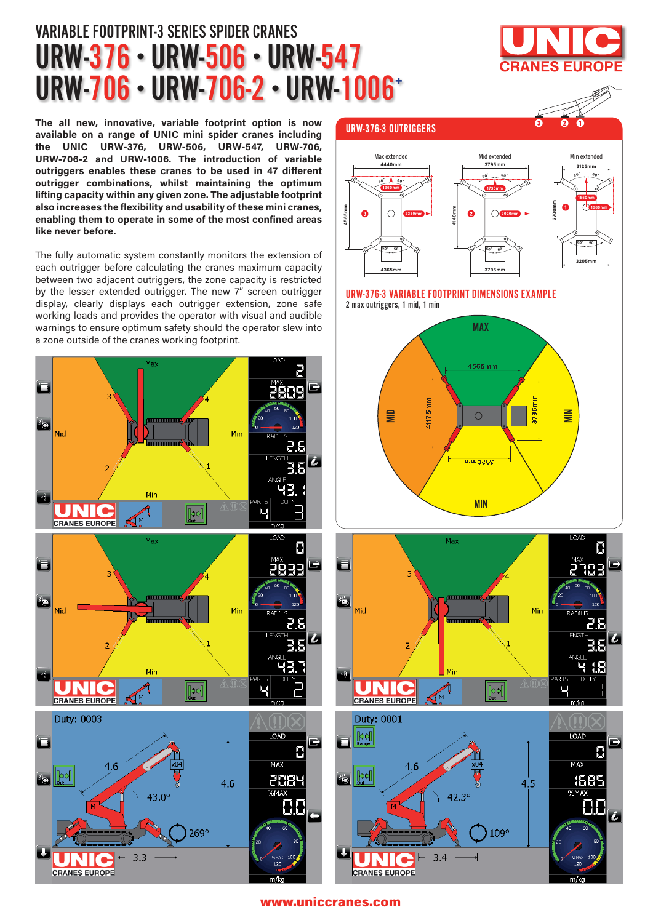## URW-376 · URW-506 · URW-547 URW-706 · URW-706-2 · URW-1006+ VARIABLE FOOTPRINT-3 SERIES SPIDER CRANES

**The all new, innovative, variable footprint option is now available on a range of UNIC mini spider cranes including the UNIC URW-376, URW-506, URW-547, URW-706, URW-706-2 and URW-1006. The introduction of variable outriggers enables these cranes to be used in 47 different outrigger combinations, whilst maintaining the optimum lifting capacity within any given zone. The adjustable footprint also increases the flexibility and usability of these mini cranes, enabling them to operate in some of the most confined areas like never before.** 

The fully automatic system constantly monitors the extension of each outrigger before calculating the cranes maximum capacity between two adjacent outriggers, the zone capacity is restricted by the lesser extended outrigger. The new 7" screen outrigger display, clearly displays each outrigger extension, zone safe working loads and provides the operator with visual and audible warnings to ensure optimum safety should the operator slew into a zone outside of the cranes working footprint.



### URW-376-3 OUTRIGGERS



#### URW-376-3 VARIABLE FOOTPRINT DIMENSIONS EXAMPLE 2 max outriggers, 1 mid, 1 min







#### www.uniccranes.com